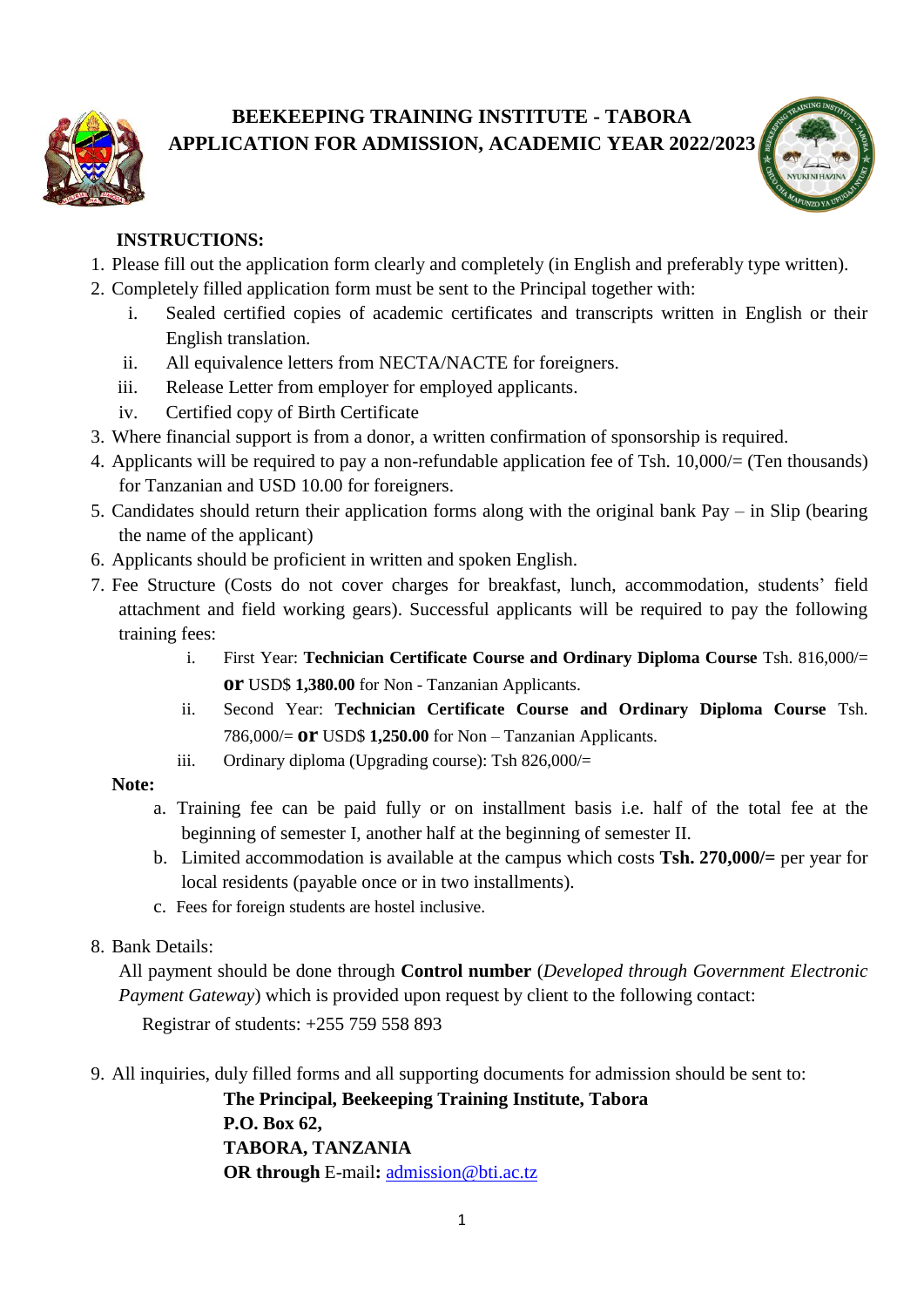

## **BEEKEEPING TRAINING INSTITUTE - TABORA APPLICATION FOR ADMISSION, ACADEMIC YEAR 2022/2023**



# **INSTRUCTIONS:**

- 1. Please fill out the application form clearly and completely (in English and preferably type written).
- 2. Completely filled application form must be sent to the Principal together with:
	- i. Sealed certified copies of academic certificates and transcripts written in English or their English translation.
	- ii. All equivalence letters from NECTA/NACTE for foreigners.
	- iii. Release Letter from employer for employed applicants.
	- iv. Certified copy of Birth Certificate
- 3. Where financial support is from a donor, a written confirmation of sponsorship is required.
- 4. Applicants will be required to pay a non-refundable application fee of Tsh. 10,000/= (Ten thousands) for Tanzanian and USD 10.00 for foreigners.
- 5. Candidates should return their application forms along with the original bank Pay in Slip (bearing the name of the applicant)
- 6. Applicants should be proficient in written and spoken English.
- 7. Fee Structure (Costs do not cover charges for breakfast, lunch, accommodation, students' field attachment and field working gears). Successful applicants will be required to pay the following training fees:
	- i. First Year: **Technician Certificate Course and Ordinary Diploma Course** Tsh. 816,000/= **or** USD\$ **1,380.00** for Non - Tanzanian Applicants.
	- ii. Second Year: **Technician Certificate Course and Ordinary Diploma Course** Tsh. 786,000/= **or** USD\$ **1,250.00** for Non – Tanzanian Applicants.
	- iii. Ordinary diploma (Upgrading course): Tsh 826,000/=

# **Note:**

- a. Training fee can be paid fully or on installment basis i.e. half of the total fee at the beginning of semester I, another half at the beginning of semester II.
- b. Limited accommodation is available at the campus which costs **Tsh. 270,000/=** per year for local residents (payable once or in two installments).
- c. Fees for foreign students are hostel inclusive.
- 8. Bank Details:

All payment should be done through **Control number** (*Developed through Government Electronic Payment Gateway*) which is provided upon request by client to the following contact:

Registrar of students: +255 759 558 893

9. All inquiries, duly filled forms and all supporting documents for admission should be sent to:

 **The Principal, Beekeeping Training Institute, Tabora P.O. Box 62, TABORA, TANZANIA OR through** E-mail**:** [admission@bti.ac.tz](mailto:admission@bti.ac.tz)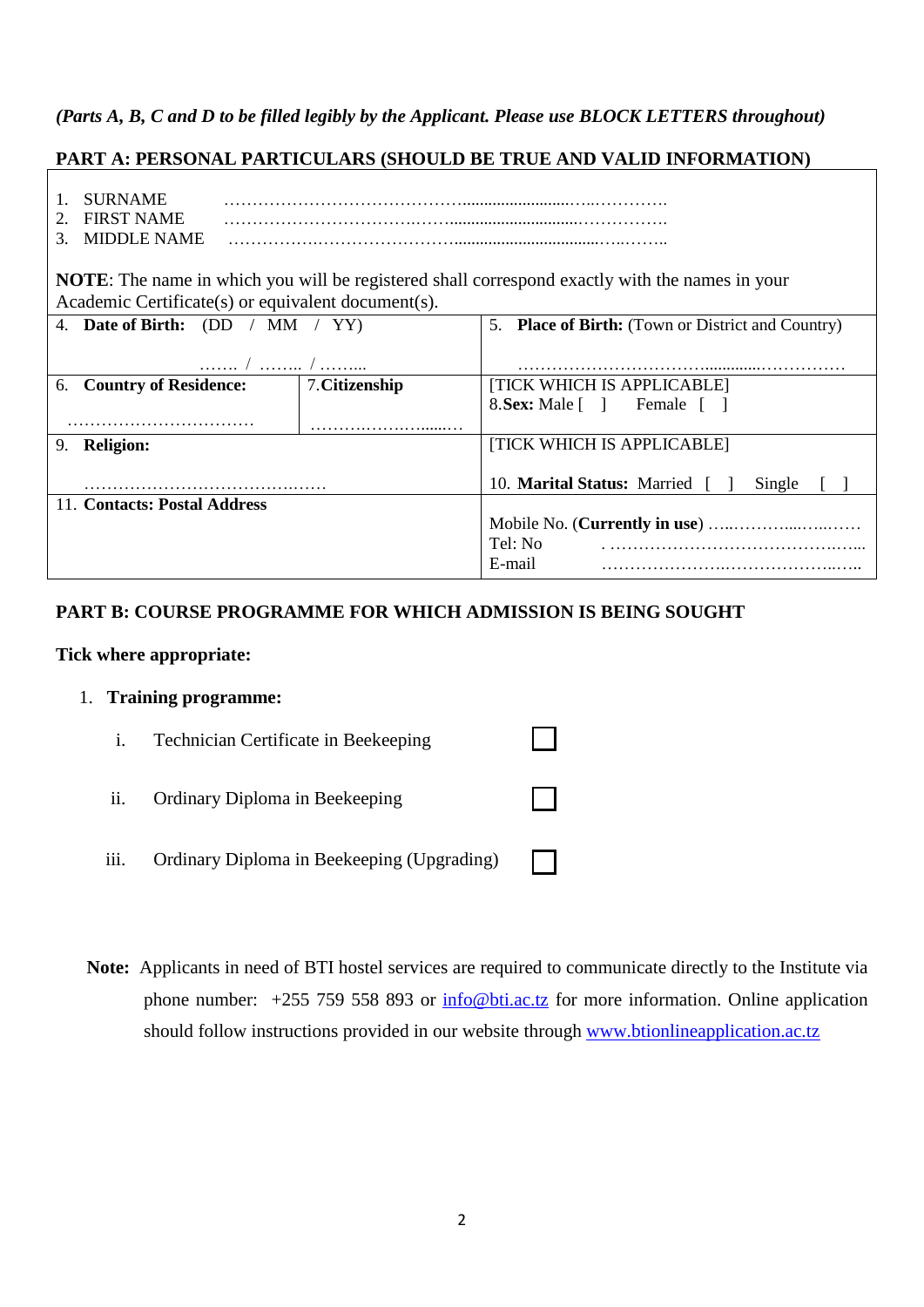## *(Parts A, B, C and D to be filled legibly by the Applicant. Please use BLOCK LETTERS throughout)*

## **PART A: PERSONAL PARTICULARS (SHOULD BE TRUE AND VALID INFORMATION)**

- 1. SURNAME …………………………………….........................…..…………. 2. FIRST NAME …………………………….……..............................…………….
- 3. MIDDLE NAME …………….……………………..................................…..……..

**NOTE**: The name in which you will be registered shall correspond exactly with the names in your Academic Certificate(s) or equivalent document(s).

| 4. Date of Birth: $(DD / MM / YY)$ |                | 5. Place of Birth: (Town or District and Country) |  |
|------------------------------------|----------------|---------------------------------------------------|--|
|                                    |                |                                                   |  |
|                                    |                |                                                   |  |
| 6. Country of Residence:           | 7. Citizenship | [TICK WHICH IS APPLICABLE]                        |  |
|                                    |                | 8. Sex: Male [ ] Female [ ]                       |  |
|                                    |                |                                                   |  |
| <b>Religion:</b><br>9.             |                | [TICK WHICH IS APPLICABLE]                        |  |
|                                    |                | 10. <b>Marital Status:</b> Married [ ]<br>Single  |  |
| 11. Contacts: Postal Address       |                |                                                   |  |
|                                    |                |                                                   |  |
|                                    |                | Tel: No                                           |  |
|                                    |                | E-mail                                            |  |

## **PART B: COURSE PROGRAMME FOR WHICH ADMISSION IS BEING SOUGHT**

#### **Tick where appropriate:**

### 1. **Training programme:**

- i. Technician Certificate in Beekeeping ii. Ordinary Diploma in Beekeeping iii. Ordinary Diploma in Beekeeping (Upgrading)
- **Note:** Applicants in need of BTI hostel services are required to communicate directly to the Institute via phone number: +255 759 558 893 or [info@bti.ac.tz](mailto:info@bti.ac.tz) for more information. Online application should follow instructions provided in our website through [www.btionlineapplication.ac.tz](http://www.btionlineapplication.ac.tz/)